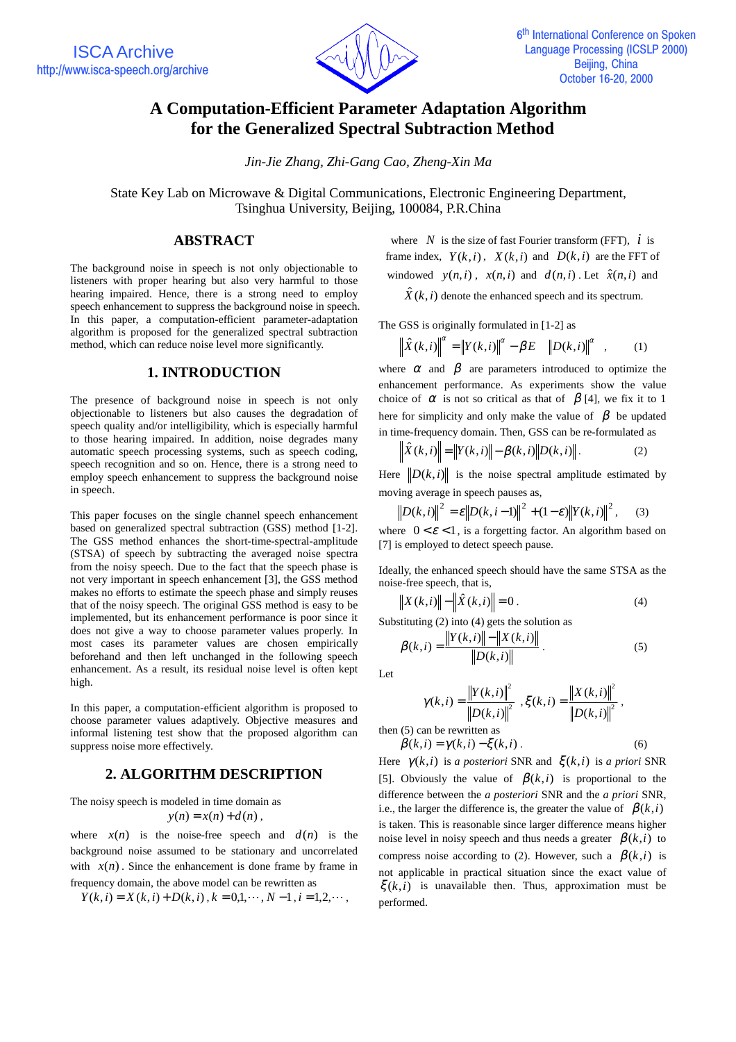

# **A Computation-Efficient Parameter Adaptation Algorithm for the Generalized Spectral Subtraction Method**

*Jin-Jie Zhang, Zhi-Gang Cao, Zheng-Xin Ma*

State Key Lab on Microwave & Digital Communications, Electronic Engineering Department, Tsinghua University, Beijing, 100084, P.R.China

### **ABSTRACT**

The background noise in speech is not only objectionable to listeners with proper hearing but also very harmful to those hearing impaired. Hence, there is a strong need to employ speech enhancement to suppress the background noise in speech. In this paper, a computation-efficient parameter-adaptation algorithm is proposed for the generalized spectral subtraction method, which can reduce noise level more significantly.

# **1. INTRODUCTION**

The presence of background noise in speech is not only objectionable to listeners but also causes the degradation of speech quality and/or intelligibility, which is especially harmful to those hearing impaired. In addition, noise degrades many automatic speech processing systems, such as speech coding, speech recognition and so on. Hence, there is a strong need to employ speech enhancement to suppress the background noise in speech.

This paper focuses on the single channel speech enhancement based on generalized spectral subtraction (GSS) method [1-2]. The GSS method enhances the short-time-spectral-amplitude (STSA) of speech by subtracting the averaged noise spectra from the noisy speech. Due to the fact that the speech phase is not very important in speech enhancement [3], the GSS method makes no efforts to estimate the speech phase and simply reuses that of the noisy speech. The original GSS method is easy to be implemented, but its enhancement performance is poor since it does not give a way to choose parameter values properly. In most cases its parameter values are chosen empirically beforehand and then left unchanged in the following speech enhancement. As a result, its residual noise level is often kept high.

In this paper, a computation-efficient algorithm is proposed to choose parameter values adaptively. Objective measures and informal listening test show that the proposed algorithm can suppress noise more effectively.

## **2. ALGORITHM DESCRIPTION**

The noisy speech is modeled in time domain as  $y(n) = x(n) + d(n)$ ,

where  $x(n)$  is the noise-free speech and  $d(n)$  is the background noise assumed to be stationary and uncorrelated with  $x(n)$ . Since the enhancement is done frame by frame in frequency domain, the above model can be rewritten as *Y*(*k*,*i*) = *X*(*k*,*i*) + *D*(*k*,*i*), *k* = 0,1,  $\cdots$ , *N* −1, *i* = 1,2,  $\cdots$ ,

$$
Y(k, i) = X(k, i) + D(k, i), k = 0, 1, \dots, N - 1, i = 1, 2, \dots,
$$

where *N* is the size of fast Fourier transform (FFT),  $\vec{i}$  is frame index,  $Y(k,i)$ ,  $X(k,i)$  and  $D(k,i)$  are the FFT of windowed  $y(n,i)$ ,  $x(n,i)$  and  $d(n,i)$ . Let  $\hat{x}(n,i)$  and

 $\hat{X}(k, i)$  denote the enhanced speech and its spectrum.

The GSS is originally formulated in [1-2] as

$$
\left\| \hat{X}(k,i) \right\|^{2} = \left\| Y(k,i) \right\|^{2} - \beta E\left[ \left\| D(k,i) \right\|^{2} \right], \quad (1)
$$

where  $\alpha$  and  $\beta$  are parameters introduced to optimize the enhancement performance. As experiments show the value choice of  $\alpha$  is not so critical as that of  $\beta$  [4], we fix it to 1 here for simplicity and only make the value of  $\beta$  be updated in time-frequency domain. Then, GSS can be re-formulated as

$$
\left| \hat{X}(k, i) \right| = \| Y(k, i) \| - \beta(k, i) \| D(k, i) \|.
$$
 (2)

Here  $\|D(k,i)\|$  is the noise spectral amplitude estimated by moving average in speech pauses as,

$$
\|D(k,i)\|^2 = \varepsilon \|D(k,i-1)\|^2 + (1-\varepsilon) \|Y(k,i)\|^2, \quad (3)
$$

where  $0 < \varepsilon < 1$ , is a forgetting factor. An algorithm based on [7] is employed to detect speech pause.

Ideally, the enhanced speech should have the same STSA as the noise-free speech, that is,

$$
\left| X(k,i) \right| - \left| \hat{X}(k,i) \right| = 0.
$$
 (4)

Substituting (2) into (4) gets the solution as

$$
\beta(k,i) = \frac{\|Y(k,i)\| - \|X(k,i)\|}{\|D(k,i)\|}.
$$
\n(5)

Let

then  $(5)$ 

$$
\gamma(k, i) = \frac{\|Y(k, i)\|^2}{\|D(k, i)\|^2}, \xi(k, i) = \frac{\|X(k, i)\|^2}{\|D(k, i)\|^2},
$$
  
can be rewritten as

 $\beta(k, i) = \gamma(k, i) - \xi(k, i)$ . (6) Here  $\gamma(k,i)$  is *a posteriori* SNR and  $\xi(k,i)$  is *a priori* SNR [5]. Obviously the value of  $\beta(k,i)$  is proportional to the difference between the *a posteriori* SNR and the *a priori* SNR, i.e., the larger the difference is, the greater the value of  $\beta(k, i)$ is taken. This is reasonable since larger difference means higher noise level in noisy speech and thus needs a greater  $\beta(k,i)$  to compress noise according to (2). However, such a  $\beta(k,i)$  is not applicable in practical situation since the exact value of  $\xi(k,i)$  is unavailable then. Thus, approximation must be performed.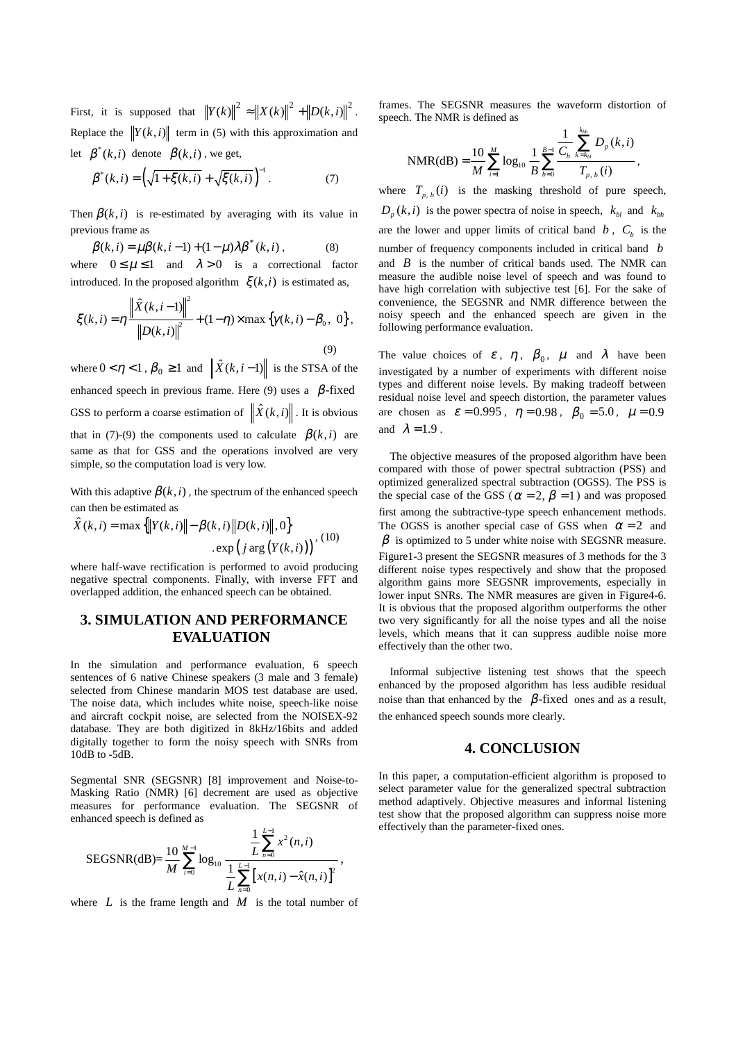First, it is supposed that  $\left\| Y(k) \right\|^2 \approx \left\| X(k) \right\|^2 + \left\| D(k,i) \right\|^2$ . Replace the  $||Y(k, i)||$  term in (5) with this approximation and let  $\beta^*(k,i)$  denote  $\beta(k,i)$ , we get,

$$
\beta^*(k,i) = \left(\sqrt{1 + \xi(k,i)} + \sqrt{\xi(k,i)}\right)^{-1}.
$$
 (7)

Then  $\beta(k, i)$  is re-estimated by averaging with its value in previous frame as

 $\beta(k, i) = \mu \beta(k, i - 1) + (1 - \mu) \lambda \beta^{*}(k, i)$ , (8) where  $0 \le \mu \le 1$  and  $\lambda > 0$  is a correctional factor introduced. In the proposed algorithm  $\xi(k,i)$  is estimated as,

$$
\xi(k, i) = \eta \frac{\left\| \hat{X}(k, i-1) \right\|^2}{\left\| D(k, i) \right\|^2} + (1 - \eta) \times \max \left\{ \gamma(k, i) - \beta_0, 0 \right\},\tag{9}
$$

where  $0 < \eta < 1$ ,  $\beta_0 \ge 1$  and  $\left\| \hat{X}(k, i-1) \right\|$  is the STSA of the enhanced speech in previous frame. Here (9) uses a  $\beta$ -fixed GSS to perform a coarse estimation of  $\|\hat{X}(k,i)\|$ . It is obvious that in (7)-(9) the components used to calculate  $\beta(k, i)$  are same as that for GSS and the operations involved are very simple, so the computation load is very low.

With this adaptive  $\beta(k, i)$ , the spectrum of the enhanced speech can then be estimated as

$$
\hat{X}(k, i) = \max \{ ||Y(k, i)|| - \beta(k, i)||D(k, i)||, 0 \}
$$
  
.exp(j arg (Y(k, i)))<sup>1</sup>, (10)

where half-wave rectification is performed to avoid producing negative spectral components. Finally, with inverse FFT and overlapped addition, the enhanced speech can be obtained.

# **3. SIMULATION AND PERFORMANCE EVALUATION**

In the simulation and performance evaluation, 6 speech sentences of 6 native Chinese speakers (3 male and 3 female) selected from Chinese mandarin MOS test database are used. The noise data, which includes white noise, speech-like noise and aircraft cockpit noise, are selected from the NOISEX-92 database. They are both digitized in 8kHz/16bits and added digitally together to form the noisy speech with SNRs from 10dB to -5dB.

Segmental SNR (SEGSNR) [8] improvement and Noise-to-Masking Ratio (NMR) [6] decrement are used as objective measures for performance evaluation. The SEGSNR of enhanced speech is defined as

$$
SEGSNR(dB) = \frac{10}{M} \sum_{i=0}^{M-1} \log_{10} \frac{\frac{1}{L} \sum_{n=0}^{L-1} x^2(n, i)}{\frac{1}{L} \sum_{n=0}^{L-1} \left[ x(n, i) - \hat{x}(n, i) \right]^2},
$$

where  $L$  is the frame length and  $M$  is the total number of

frames. The SEGSNR measures the waveform distortion of speech. The NMR is defined as

NMR(dB) = 
$$
\frac{10}{M} \sum_{i=1}^{M} \log_{10} \frac{1}{B} \sum_{b=0}^{B-1} \frac{\sum_{k=k_{bl}}^{k_{bh}} D_p(k, i)}{T_{p, b}(i)},
$$

where  $T_{p, b}(i)$  is the masking threshold of pure speech,  $D_n(k,i)$  is the power spectra of noise in speech,  $k_{hl}$  and  $k_{hh}$ are the lower and upper limits of critical band  $b$ ,  $C<sub>b</sub>$  is the number of frequency components included in critical band *b* and *B* is the number of critical bands used. The NMR can measure the audible noise level of speech and was found to have high correlation with subjective test [6]. For the sake of convenience, the SEGSNR and NMR difference between the noisy speech and the enhanced speech are given in the following performance evaluation.

The value choices of  $\varepsilon$ ,  $\eta$ ,  $\beta_0$ ,  $\mu$  and  $\lambda$  have been investigated by a number of experiments with different noise types and different noise levels. By making tradeoff between residual noise level and speech distortion, the parameter values are chosen as  $\varepsilon = 0.995$ ,  $\eta = 0.98$ ,  $\beta_0 = 5.0$ ,  $\mu = 0.9$ and  $\lambda = 1.9$ .

The objective measures of the proposed algorithm have been compared with those of power spectral subtraction (PSS) and optimized generalized spectral subtraction (OGSS). The PSS is the special case of the GSS ( $\alpha = 2$ ,  $\beta = 1$ ) and was proposed first among the subtractive-type speech enhancement methods. The OGSS is another special case of GSS when  $\alpha = 2$  and  $\beta$  is optimized to 5 under white noise with SEGSNR measure. Figure1-3 present the SEGSNR measures of 3 methods for the 3 different noise types respectively and show that the proposed algorithm gains more SEGSNR improvements, especially in lower input SNRs. The NMR measures are given in Figure4-6. It is obvious that the proposed algorithm outperforms the other two very significantly for all the noise types and all the noise levels, which means that it can suppress audible noise more effectively than the other two.

Informal subjective listening test shows that the speech enhanced by the proposed algorithm has less audible residual noise than that enhanced by the  $\beta$ -fixed ones and as a result, the enhanced speech sounds more clearly.

#### **4. CONCLUSION**

In this paper, a computation-efficient algorithm is proposed to select parameter value for the generalized spectral subtraction method adaptively. Objective measures and informal listening test show that the proposed algorithm can suppress noise more effectively than the parameter-fixed ones.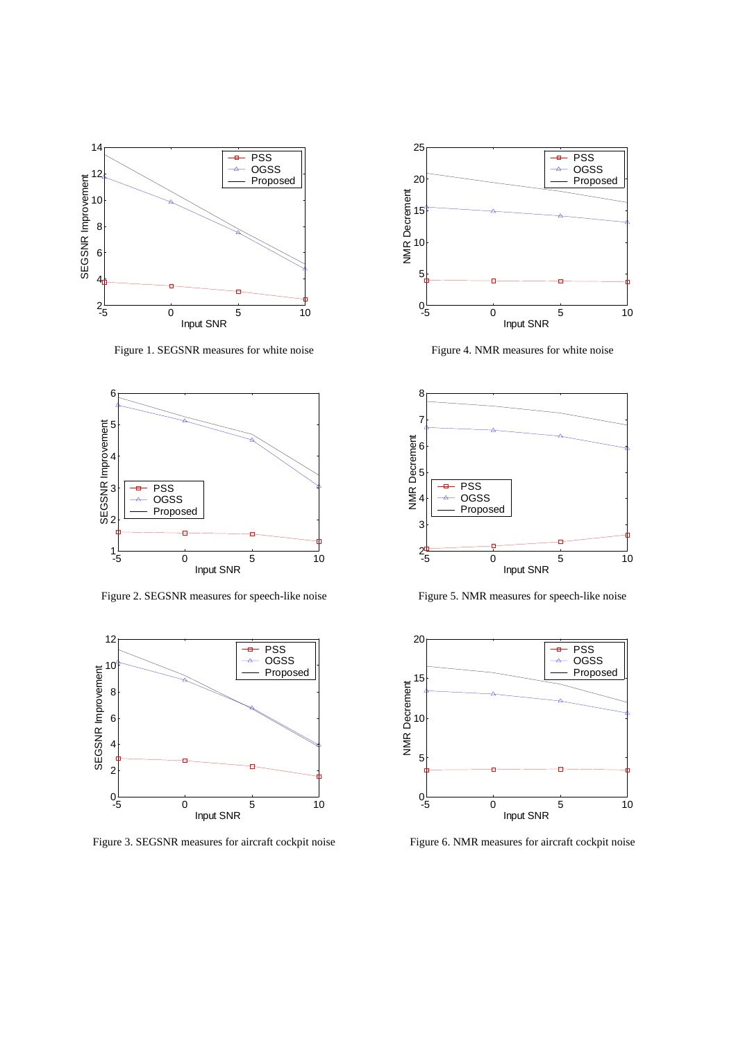

Figure 1. SEGSNR measures for white noise



Figure 2. SEGSNR measures for speech-like noise



Figure 3. SEGSNR measures for aircraft cockpit noise



Figure 4. NMR measures for white noise



Figure 5. NMR measures for speech-like noise



Figure 6. NMR measures for aircraft cockpit noise